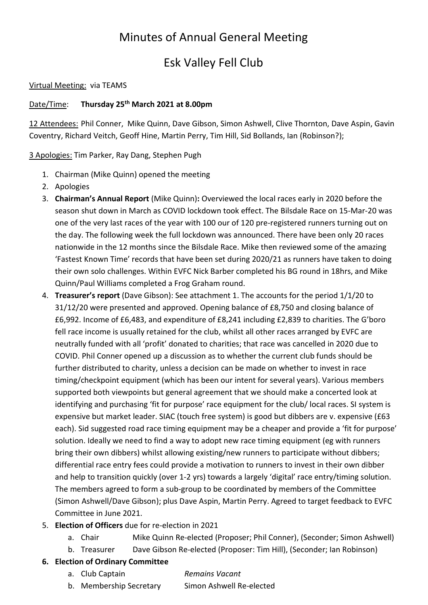# Minutes of Annual General Meeting

# Esk Valley Fell Club

#### Virtual Meeting: via TEAMS

#### Date/Time: Thursday 25<sup>th</sup> March 2021 at 8.00pm

12 Attendees: Phil Conner, Mike Quinn, Dave Gibson, Simon Ashwell, Clive Thornton, Dave Aspin, Gavin Coventry, Richard Veitch, Geoff Hine, Martin Perry, Tim Hill, Sid Bollands, Ian (Robinson?);

3 Apologies: Tim Parker, Ray Dang, Stephen Pugh

- 1. Chairman (Mike Quinn) opened the meeting
- 2. Apologies
- 3. Chairman's Annual Report (Mike Quinn): Overviewed the local races early in 2020 before the season shut down in March as COVID lockdown took effect. The Bilsdale Race on 15-Mar-20 was one of the very last races of the year with 100 our of 120 pre-registered runners turning out on the day. The following week the full lockdown was announced. There have been only 20 races nationwide in the 12 months since the Bilsdale Race. Mike then reviewed some of the amazing 'Fastest Known Time' records that have been set during 2020/21 as runners have taken to doing their own solo challenges. Within EVFC Nick Barber completed his BG round in 18hrs, and Mike Quinn/Paul Williams completed a Frog Graham round.
- 4. Treasurer's report (Dave Gibson): See attachment 1. The accounts for the period 1/1/20 to 31/12/20 were presented and approved. Opening balance of £8,750 and closing balance of £6,992. Income of £6,483, and expenditure of £8,241 including £2,839 to charities. The G'boro fell race income is usually retained for the club, whilst all other races arranged by EVFC are neutrally funded with all 'profit' donated to charities; that race was cancelled in 2020 due to COVID. Phil Conner opened up a discussion as to whether the current club funds should be further distributed to charity, unless a decision can be made on whether to invest in race timing/checkpoint equipment (which has been our intent for several years). Various members supported both viewpoints but general agreement that we should make a concerted look at identifying and purchasing 'fit for purpose' race equipment for the club/ local races. SI system is expensive but market leader. SIAC (touch free system) is good but dibbers are v. expensive (£63 each). Sid suggested road race timing equipment may be a cheaper and provide a 'fit for purpose' solution. Ideally we need to find a way to adopt new race timing equipment (eg with runners bring their own dibbers) whilst allowing existing/new runners to participate without dibbers; differential race entry fees could provide a motivation to runners to invest in their own dibber and help to transition quickly (over 1-2 yrs) towards a largely 'digital' race entry/timing solution. The members agreed to form a sub-group to be coordinated by members of the Committee (Simon Ashwell/Dave Gibson); plus Dave Aspin, Martin Perry. Agreed to target feedback to EVFC Committee in June 2021.

## 5. Election of Officers due for re-election in 2021

- a. Chair Mike Quinn Re-elected (Proposer; Phil Conner), (Seconder; Simon Ashwell)
- b. Treasurer Dave Gibson Re-elected (Proposer: Tim Hill), (Seconder; Ian Robinson)

### 6. Election of Ordinary Committee

#### a. Club Captain Remains Vacant

b. Membership Secretary Simon Ashwell Re-elected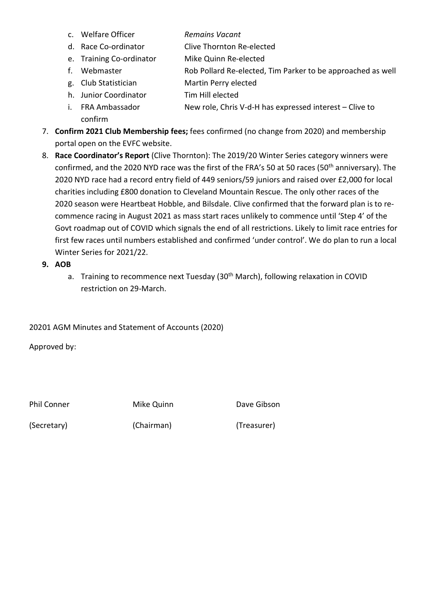- c. Welfare Officer **Remains Vacant**
- d. Race Co-ordinator Clive Thornton Re-elected
- e. Training Co-ordinator Mike Quinn Re-elected
- f. Webmaster Rob Pollard Re-elected, Tim Parker to be approached as well
- g. Club Statistician Martin Perry elected
- h. Junior Coordinator Tim Hill elected
- i. FRA Ambassador **New role, Chris V-d-H** has expressed interest Clive to confirm
- 7. Confirm 2021 Club Membership fees; fees confirmed (no change from 2020) and membership portal open on the EVFC website.
- 8. Race Coordinator's Report (Clive Thornton): The 2019/20 Winter Series category winners were confirmed, and the 2020 NYD race was the first of the FRA's 50 at 50 races (50<sup>th</sup> anniversary). The 2020 NYD race had a record entry field of 449 seniors/59 juniors and raised over £2,000 for local charities including £800 donation to Cleveland Mountain Rescue. The only other races of the 2020 season were Heartbeat Hobble, and Bilsdale. Clive confirmed that the forward plan is to recommence racing in August 2021 as mass start races unlikely to commence until 'Step 4' of the Govt roadmap out of COVID which signals the end of all restrictions. Likely to limit race entries for first few races until numbers established and confirmed 'under control'. We do plan to run a local Winter Series for 2021/22.
- 9. AOB
	- a. Training to recommence next Tuesday (30<sup>th</sup> March), following relaxation in COVID restriction on 29-March.

20201 AGM Minutes and Statement of Accounts (2020)

Approved by:

Phil Conner Mike Quinn Dave Gibson

(Secretary) (Chairman) (Treasurer)